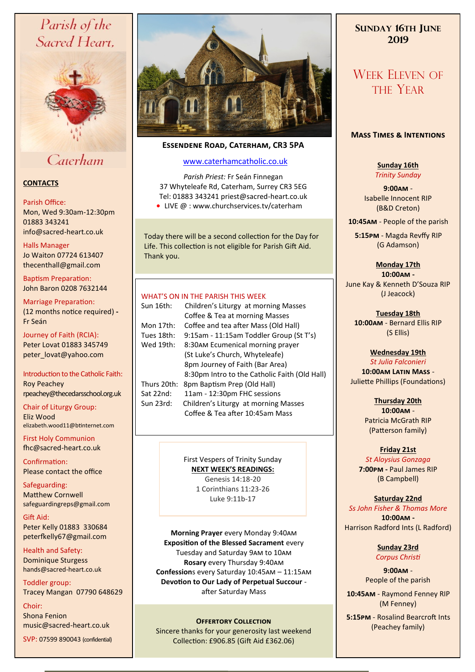# Parish of the Sacred Heart,



# Caterham

#### **CONTACTS**

#### Parish Office:

Mon, Wed 9:30am-12:30pm 01883 343241 info@sacred-heart.co.uk .

#### Halls Manager

Jo Waiton 07724 613407 thecenthall@gmail.com

Baptism Preparation: John Baron 0208 7632144

Marriage Preparation: (12 months notice required) **-** Fr Seán

Journey of Faith (RCIA): Peter Lovat 01883 345749 peter\_lovat@yahoo.com

Introduction to the Catholic Faith: Roy Peachey rpeachey@thecedarsschool.org.uk

Chair of Liturgy Group: Eliz Wood elizabeth.wood11@btinternet.com

First Holy Communion fhc@sacred-heart.co.uk

Confirmation: Please contact the office

Safeguarding: Matthew Cornwell safeguardingreps@gmail.com

Gift Aid: Peter Kelly 01883 330684 peterfkelly67@gmail.com

Health and Safety: Dominique Sturgess hands@sacred-heart.co.uk

Toddler group: Tracey Mangan 07790 648629

Choir: Shona Fenion music@sacred-heart.co.uk

SVP: 07599 890043 (confidential)



## **Essendene Road, Caterham, CR3 5PA**

### [www.caterhamcatholic.co.uk](http://Www.caterhamcatholic.co.uk)

*Parish Priest:* Fr Seán Finnegan 37 Whyteleafe Rd, Caterham, Surrey CR3 5EG Tel: 01883 343241 priest@sacred-heart.co.uk

● LIVE @ : www.churchservices.tv/caterham

Today there will be a second collection for the Day for Life. This collection is not eligible for Parish Gift Aid. Thank you.

#### WHAT'S ON IN THE PARISH THIS WEEK.

| Sun 16th:   | Children's Liturgy at morning Masses<br>Coffee & Tea at morning Masses |
|-------------|------------------------------------------------------------------------|
| Mon 17th:   | Coffee and tea after Mass (Old Hall)                                   |
| Tues 18th:  | 9:15am - 11:15am Toddler Group (St T's)                                |
| Wed 19th:   | 8:30AM Ecumenical morning prayer                                       |
|             | (St Luke's Church, Whyteleafe)                                         |
|             | 8pm Journey of Faith (Bar Area)                                        |
|             | 8:30pm Intro to the Catholic Faith (Old Hall)                          |
| Thurs 20th: | 8pm Baptism Prep (Old Hall)                                            |
| Sat 22nd:   | 11am - 12:30pm FHC sessions                                            |
| Sun 23rd:   | Children's Liturgy at morning Masses                                   |
|             | Coffee & Tea after 10:45am Mass                                        |
|             |                                                                        |

First Vespers of Trinity Sunday **NEXT WEEK'S READINGS:**  Genesis 14:18-20 1 Corinthians 11:23-26

Luke 9:11b-17

**Morning Prayer** every Monday 9:40am **Exposition of the Blessed Sacrament** every Tuesday and Saturday 9am to 10am **Rosary** every Thursday 9:40am **Confession**s every Saturday 10:45am – 11:15am **Devotion to Our Lady of Perpetual Succour**  after Saturday Mass

**OFFERTORY COLLECTION**<br>Sincere thanks for your generosity last weekend (Peachey family) Collection: £906.85 (Gift Aid £362.06)

## **SUNDAY 16TH JUNE 2019**

# WEEK ELEVEN OF THE YEAR

#### **Mass Times & Intentions**

**Sunday 16th** *Trinity Sunday*

**9:00am** - Isabelle Innocent RIP (B&D Creton)

.**10:45am** - People of the parish

.**5:15pm** - Magda Revffy RIP (G Adamson)

> **Monday 17th 10:00am -**

June Kay & Kenneth D'Souza RIP (J Jeacock)

**Tuesday 18th 10:00am** - Bernard Ellis RIP (S Ellis)

**Wednesday 19th** *St Julia Falconieri* **10:00am Latin Mass** - Juliette Phillips (Foundations)

> **Thursday 20th 10:00am** - Patricia McGrath RIP (Patterson family)

### **Friday 21st**

*St Aloysius Gonzaga* **7:00pm -** Paul James RIP (B Campbell)

#### **Saturday 22nd**

*Ss John Fisher & Thomas More* **10:00am -**  Harrison Radford Ints (L Radford)

> **Sunday 23rd** *Corpus Christi*

**9:00am** - People of the parish

.**10:45am** - Raymond Fenney RIP (M Fenney)

.**5:15pm** - Rosalind Bearcroft Ints